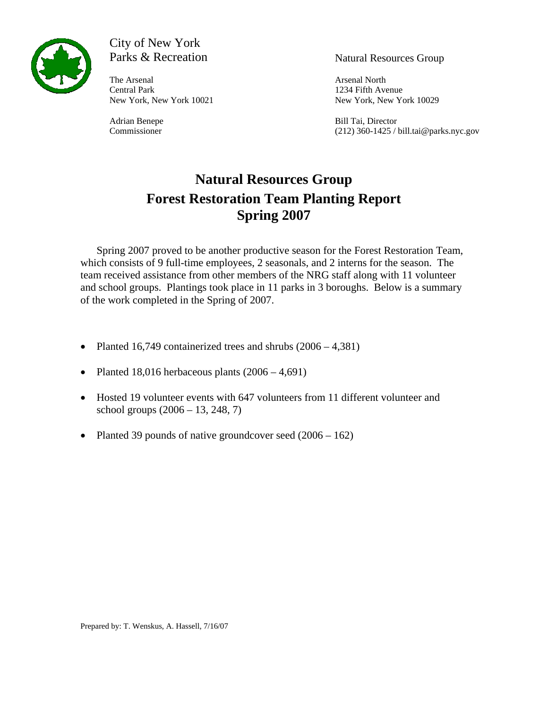

# City of New York Parks & Recreation Natural Resources Group

The Arsenal North **Arsenal** North Central Park 1234 Fifth Avenue

New York, New York 10021 New York, New York 10029

Adrian Benepe Bill Tai, Director Commissioner (212) 360-1425 / bill.tai@parks.nyc.gov

# **Natural Resources Group Forest Restoration Team Planting Report Spring 2007**

Spring 2007 proved to be another productive season for the Forest Restoration Team, which consists of 9 full-time employees, 2 seasonals, and 2 interns for the season. The team received assistance from other members of the NRG staff along with 11 volunteer and school groups. Plantings took place in 11 parks in 3 boroughs. Below is a summary of the work completed in the Spring of 2007.

- Planted 16,749 containerized trees and shrubs  $(2006 4,381)$
- Planted 18,016 herbaceous plants  $(2006 4,691)$
- Hosted 19 volunteer events with 647 volunteers from 11 different volunteer and school groups (2006 – 13, 248, 7)
- Planted 39 pounds of native groundcover seed (2006 162)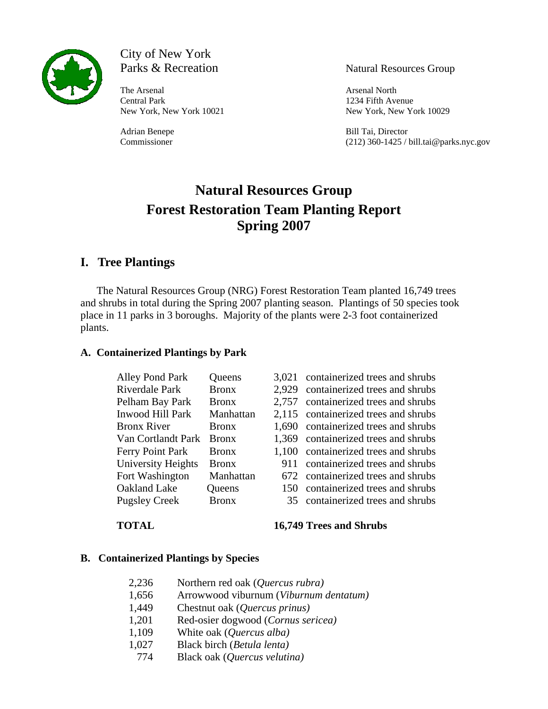

City of New York Parks & Recreation Natural Resources Group

The Arsenal North **Arsenal** North **Arsenal** North Central Park 1234 Fifth Avenue

New York, New York 10021 New York, New York 10029

Adrian Benepe Bill Tai, Director Commissioner (212) 360-1425 / bill.tai@parks.nyc.gov

# **Natural Resources Group Forest Restoration Team Planting Report Spring 2007**

## **I. Tree Plantings**

The Natural Resources Group (NRG) Forest Restoration Team planted 16,749 trees and shrubs in total during the Spring 2007 planting season. Plantings of 50 species took place in 11 parks in 3 boroughs. Majority of the plants were 2-3 foot containerized plants.

### **A. Containerized Plantings by Park**

| Alley Pond Park      | <b>Queens</b> |       | 3,021 containerized trees and shrubs |
|----------------------|---------------|-------|--------------------------------------|
| Riverdale Park       | <b>Bronx</b>  | 2.929 | containerized trees and shrubs       |
| Pelham Bay Park      | <b>Bronx</b>  | 2.757 | containerized trees and shrubs       |
| Inwood Hill Park     | Manhattan     |       | 2,115 containerized trees and shrubs |
| <b>Bronx River</b>   | <b>Bronx</b>  |       | 1,690 containerized trees and shrubs |
| Van Cortlandt Park   | <b>Bronx</b>  |       | 1,369 containerized trees and shrubs |
| Ferry Point Park     | <b>Bronx</b>  |       | 1,100 containerized trees and shrubs |
| University Heights   | <b>Bronx</b>  | 911   | containerized trees and shrubs       |
| Fort Washington      | Manhattan     |       | 672 containerized trees and shrubs   |
| Oakland Lake         | Queens        | 150.  | containerized trees and shrubs       |
| <b>Pugsley Creek</b> | <b>Bronx</b>  |       | 35 containerized trees and shrubs    |

**TOTAL 16,749 Trees and Shrubs**

### **B. Containerized Plantings by Species**

| 2,236 | Northern red oak (Quercus rubra)       |
|-------|----------------------------------------|
| 1,656 | Arrowwood viburnum (Viburnum dentatum) |
| 1,449 | Chestnut oak (Quercus prinus)          |
| 1,201 | Red-osier dogwood (Cornus sericea)     |
| 1,109 | White oak (Quercus alba)               |
| 1,027 | Black birch (Betula lenta)             |
| 774   | Black oak (Quercus velutina)           |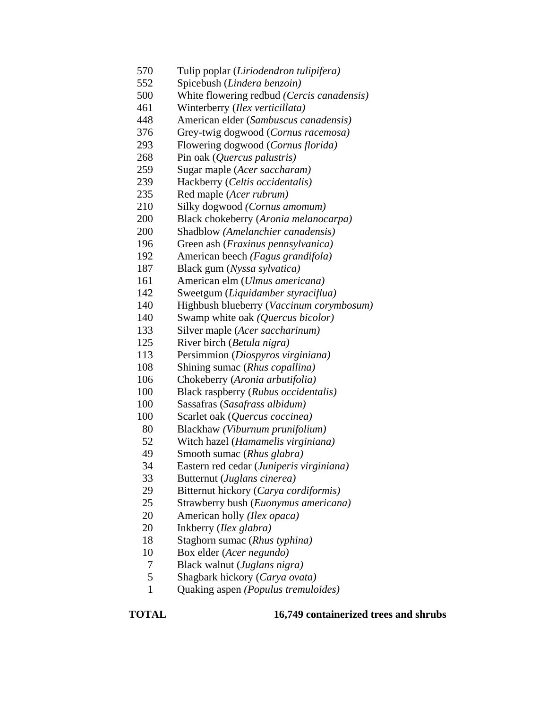- 570 Tulip poplar (*Liriodendron tulipifera)*
- 552 Spicebush (*Lindera benzoin)*
- 500 White flowering redbud *(Cercis canadensis)*
- 461 Winterberry (*Ilex verticillata)*
- 448 American elder (*Sambuscus canadensis)*
- 376 Grey-twig dogwood (*Cornus racemosa)*
- 293 Flowering dogwood (*Cornus florida)*
- 268 Pin oak (*Quercus palustris)*
- 259 Sugar maple (*Acer saccharam)*
- 239 Hackberry (*Celtis occidentalis)*
- 235 Red maple (*Acer rubrum)*
- 210 Silky dogwood *(Cornus amomum)*
- 200 Black chokeberry (*Aronia melanocarpa)*
- 200 Shadblow *(Amelanchier canadensis)*
- 196 Green ash (*Fraxinus pennsylvanica)*
- 192 American beech *(Fagus grandifola)*
- 187 Black gum (*Nyssa sylvatica)*
- 161 American elm (*Ulmus americana)*
- 142 Sweetgum (*Liquidamber styraciflua)*
- 140 Highbush blueberry (*Vaccinum corymbosum)*
- 140 Swamp white oak *(Quercus bicolor)*
- 133 Silver maple (*Acer saccharinum)*
- 125 River birch (*Betula nigra)*
- 113 Persimmion (*Diospyros virginiana)*
- 108 Shining sumac (*Rhus copallina)*
- 106 Chokeberry (*Aronia arbutifolia)*
- 100 Black raspberry (*Rubus occidentalis)*
- 100 Sassafras (*Sasafrass albidum)*
- 100 Scarlet oak (*Quercus coccinea)*
- 80 Blackhaw *(Viburnum prunifolium)*
- 52 Witch hazel (*Hamamelis virginiana)*
- 49 Smooth sumac (*Rhus glabra)*
- 34 Eastern red cedar (*Juniperis virginiana)*
- 33 Butternut (*Juglans cinerea)*
- 29 Bitternut hickory (*Carya cordiformis)*
- 25 Strawberry bush (*Euonymus americana)*
- 20 American holly *(Ilex opaca)*
- 20 Inkberry (*Ilex glabra)*
- 18 Staghorn sumac (*Rhus typhina)*
- 10 Box elder (*Acer negundo)*
- 7 Black walnut (*Juglans nigra)*
- 5 Shagbark hickory (*Carya ovata)*
- 1 Quaking aspen *(Populus tremuloides)*

**TOTAL 16,749 containerized trees and shrubs**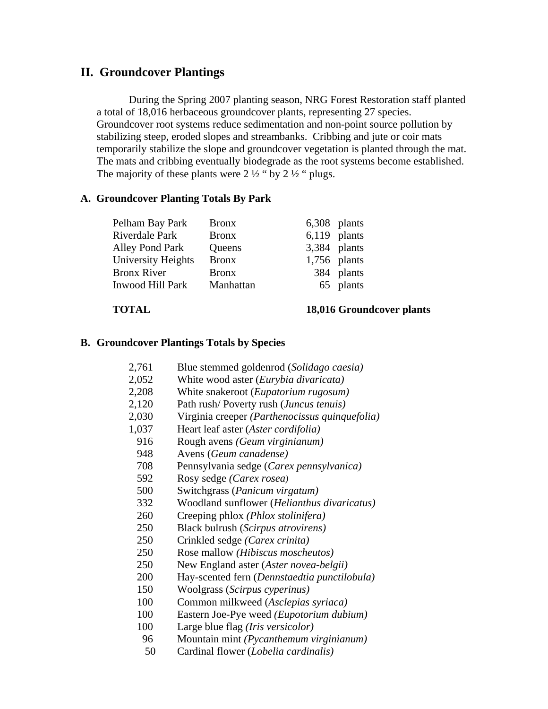## **II. Groundcover Plantings**

During the Spring 2007 planting season, NRG Forest Restoration staff planted a total of 18,016 herbaceous groundcover plants, representing 27 species. Groundcover root systems reduce sedimentation and non-point source pollution by stabilizing steep, eroded slopes and streambanks. Cribbing and jute or coir mats temporarily stabilize the slope and groundcover vegetation is planted through the mat. The mats and cribbing eventually biodegrade as the root systems become established. The majority of these plants were  $2\frac{1}{2}$  " by  $2\frac{1}{2}$ " plugs.

#### **A. Groundcover Planting Totals By Park**

| <b>Bronx</b> |                                                                  |
|--------------|------------------------------------------------------------------|
| <b>Bronx</b> |                                                                  |
| Queens       |                                                                  |
| <b>Bronx</b> |                                                                  |
| <b>Bronx</b> | 384 plants                                                       |
| Manhattan    | 65 plants                                                        |
|              | 6,308 plants<br>$6,119$ plants<br>3,384 plants<br>$1,756$ plants |

#### **TOTAL 18,016 Groundcover plants**

#### **B. Groundcover Plantings Totals by Species**

| 2,761 | Blue stemmed goldenrod (Solidago caesia)       |
|-------|------------------------------------------------|
| 2,052 | White wood aster (Eurybia divaricata)          |
| 2,208 | White snakeroot ( <i>Eupatorium rugosum</i> )  |
| 2,120 | Path rush/Poverty rush (Juncus tenuis)         |
| 2,030 | Virginia creeper (Parthenocissus quinquefolia) |
| 1,037 | Heart leaf aster (Aster cordifolia)            |
| 916   | Rough avens (Geum virginianum)                 |
| 948   | Avens (Geum canadense)                         |
| 708   | Pennsylvania sedge (Carex pennsylvanica)       |
| 592   | Rosy sedge (Carex rosea)                       |
| 500   | Switchgrass (Panicum virgatum)                 |
| 332   | Woodland sunflower (Helianthus divaricatus)    |
| 260   | Creeping phlox (Phlox stolinifera)             |
| 250   | Black bulrush (Scirpus atrovirens)             |
| 250   | Crinkled sedge (Carex crinita)                 |
| 250   | Rose mallow (Hibiscus moscheutos)              |
| 250   | New England aster (Aster novea-belgii)         |
| 200   | Hay-scented fern (Dennstaedtia punctilobula)   |
| 150   | Woolgrass (Scirpus cyperinus)                  |
| 100   | Common milkweed (Asclepias syriaca)            |
| 100   | Eastern Joe-Pye weed (Eupotorium dubium)       |
| 100   | Large blue flag (Iris versicolor)              |
| 96    | Mountain mint (Pycanthemum virginianum)        |
| 50    | Cardinal flower (Lobelia cardinalis)           |
|       |                                                |